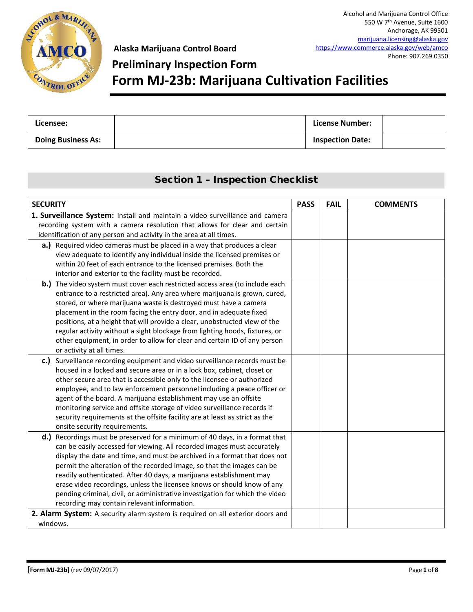

# **Preliminary Inspection Form**

### **Form MJ-23b: Marijuana Cultivation Facilities**

| Licensee:                 | License Number:         |  |
|---------------------------|-------------------------|--|
| <b>Doing Business As:</b> | <b>Inspection Date:</b> |  |

### Section 1 – Inspection Checklist

| <b>SECURITY</b>                                                                                                                               | <b>PASS</b> | <b>FAIL</b> | <b>COMMENTS</b> |
|-----------------------------------------------------------------------------------------------------------------------------------------------|-------------|-------------|-----------------|
| 1. Surveillance System: Install and maintain a video surveillance and camera                                                                  |             |             |                 |
| recording system with a camera resolution that allows for clear and certain                                                                   |             |             |                 |
| identification of any person and activity in the area at all times.                                                                           |             |             |                 |
| a.) Required video cameras must be placed in a way that produces a clear                                                                      |             |             |                 |
| view adequate to identify any individual inside the licensed premises or                                                                      |             |             |                 |
| within 20 feet of each entrance to the licensed premises. Both the                                                                            |             |             |                 |
| interior and exterior to the facility must be recorded.                                                                                       |             |             |                 |
| b.) The video system must cover each restricted access area (to include each                                                                  |             |             |                 |
| entrance to a restricted area). Any area where marijuana is grown, cured,<br>stored, or where marijuana waste is destroyed must have a camera |             |             |                 |
| placement in the room facing the entry door, and in adequate fixed                                                                            |             |             |                 |
| positions, at a height that will provide a clear, unobstructed view of the                                                                    |             |             |                 |
| regular activity without a sight blockage from lighting hoods, fixtures, or                                                                   |             |             |                 |
| other equipment, in order to allow for clear and certain ID of any person                                                                     |             |             |                 |
| or activity at all times.                                                                                                                     |             |             |                 |
| c.) Surveillance recording equipment and video surveillance records must be                                                                   |             |             |                 |
| housed in a locked and secure area or in a lock box, cabinet, closet or                                                                       |             |             |                 |
| other secure area that is accessible only to the licensee or authorized                                                                       |             |             |                 |
| employee, and to law enforcement personnel including a peace officer or                                                                       |             |             |                 |
| agent of the board. A marijuana establishment may use an offsite                                                                              |             |             |                 |
| monitoring service and offsite storage of video surveillance records if                                                                       |             |             |                 |
| security requirements at the offsite facility are at least as strict as the                                                                   |             |             |                 |
| onsite security requirements.<br>d.) Recordings must be preserved for a minimum of 40 days, in a format that                                  |             |             |                 |
| can be easily accessed for viewing. All recorded images must accurately                                                                       |             |             |                 |
| display the date and time, and must be archived in a format that does not                                                                     |             |             |                 |
| permit the alteration of the recorded image, so that the images can be                                                                        |             |             |                 |
| readily authenticated. After 40 days, a marijuana establishment may                                                                           |             |             |                 |
| erase video recordings, unless the licensee knows or should know of any                                                                       |             |             |                 |
| pending criminal, civil, or administrative investigation for which the video                                                                  |             |             |                 |
| recording may contain relevant information.                                                                                                   |             |             |                 |
| 2. Alarm System: A security alarm system is required on all exterior doors and                                                                |             |             |                 |
| windows.                                                                                                                                      |             |             |                 |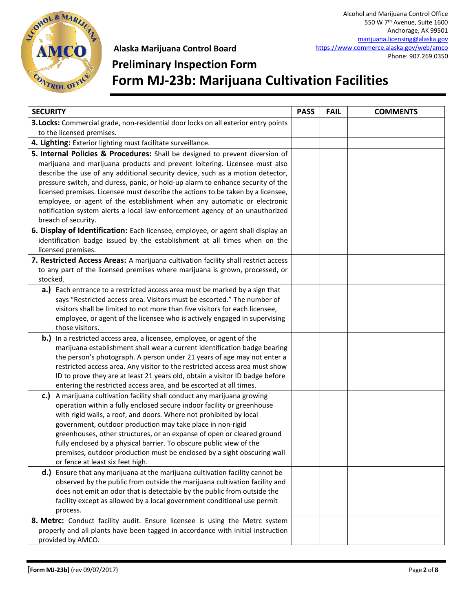

# **Preliminary Inspection Form Form MJ-23b: Marijuana Cultivation Facilities**

| <b>SECURITY</b>                                                                     | <b>PASS</b> | <b>FAIL</b> | <b>COMMENTS</b> |
|-------------------------------------------------------------------------------------|-------------|-------------|-----------------|
| 3. Locks: Commercial grade, non-residential door locks on all exterior entry points |             |             |                 |
| to the licensed premises.                                                           |             |             |                 |
| 4. Lighting: Exterior lighting must facilitate surveillance.                        |             |             |                 |
| 5. Internal Policies & Procedures: Shall be designed to prevent diversion of        |             |             |                 |
| marijuana and marijuana products and prevent loitering. Licensee must also          |             |             |                 |
| describe the use of any additional security device, such as a motion detector,      |             |             |                 |
| pressure switch, and duress, panic, or hold-up alarm to enhance security of the     |             |             |                 |
| licensed premises. Licensee must describe the actions to be taken by a licensee,    |             |             |                 |
| employee, or agent of the establishment when any automatic or electronic            |             |             |                 |
| notification system alerts a local law enforcement agency of an unauthorized        |             |             |                 |
| breach of security.                                                                 |             |             |                 |
| 6. Display of Identification: Each licensee, employee, or agent shall display an    |             |             |                 |
| identification badge issued by the establishment at all times when on the           |             |             |                 |
| licensed premises.                                                                  |             |             |                 |
| 7. Restricted Access Areas: A marijuana cultivation facility shall restrict access  |             |             |                 |
| to any part of the licensed premises where marijuana is grown, processed, or        |             |             |                 |
| stocked.                                                                            |             |             |                 |
| a.) Each entrance to a restricted access area must be marked by a sign that         |             |             |                 |
| says "Restricted access area. Visitors must be escorted." The number of             |             |             |                 |
| visitors shall be limited to not more than five visitors for each licensee,         |             |             |                 |
| employee, or agent of the licensee who is actively engaged in supervising           |             |             |                 |
| those visitors.                                                                     |             |             |                 |
| <b>b.)</b> In a restricted access area, a licensee, employee, or agent of the       |             |             |                 |
| marijuana establishment shall wear a current identification badge bearing           |             |             |                 |
| the person's photograph. A person under 21 years of age may not enter a             |             |             |                 |
| restricted access area. Any visitor to the restricted access area must show         |             |             |                 |
| ID to prove they are at least 21 years old, obtain a visitor ID badge before        |             |             |                 |
| entering the restricted access area, and be escorted at all times.                  |             |             |                 |
| c.)<br>A marijuana cultivation facility shall conduct any marijuana growing         |             |             |                 |
| operation within a fully enclosed secure indoor facility or greenhouse              |             |             |                 |
| with rigid walls, a roof, and doors. Where not prohibited by local                  |             |             |                 |
| government, outdoor production may take place in non-rigid                          |             |             |                 |
| greenhouses, other structures, or an expanse of open or cleared ground              |             |             |                 |
| fully enclosed by a physical barrier. To obscure public view of the                 |             |             |                 |
| premises, outdoor production must be enclosed by a sight obscuring wall             |             |             |                 |
| or fence at least six feet high.                                                    |             |             |                 |
| d.) Ensure that any marijuana at the marijuana cultivation facility cannot be       |             |             |                 |
| observed by the public from outside the marijuana cultivation facility and          |             |             |                 |
| does not emit an odor that is detectable by the public from outside the             |             |             |                 |
| facility except as allowed by a local government conditional use permit             |             |             |                 |
| process.                                                                            |             |             |                 |
| 8. Metrc: Conduct facility audit. Ensure licensee is using the Metrc system         |             |             |                 |
| properly and all plants have been tagged in accordance with initial instruction     |             |             |                 |
| provided by AMCO.                                                                   |             |             |                 |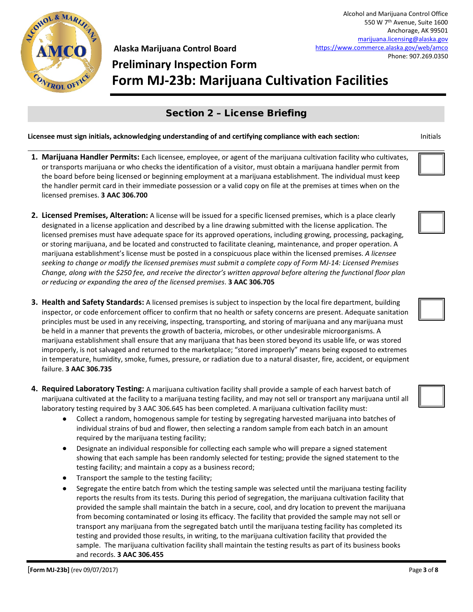

### **Preliminary Inspection Form Form MJ-23b: Marijuana Cultivation Facilities**

### Section 2 – License Briefing

- **1. Marijuana Handler Permits:** Each licensee, employee, or agent of the marijuana cultivation facility who cultivates, or transports marijuana or who checks the identification of a visitor, must obtain a marijuana handler permit from the board before being licensed or beginning employment at a marijuana establishment. The individual must keep the handler permit card in their immediate possession or a valid copy on file at the premises at times when on the licensed premises. **3 AAC 306.700**
- **2. Licensed Premises, Alteration:** A license will be issued for a specific licensed premises, which is a place clearly designated in a license application and described by a line drawing submitted with the license application. The licensed premises must have adequate space for its approved operations, including growing, processing, packaging, or storing marijuana, and be located and constructed to facilitate cleaning, maintenance, and proper operation. A marijuana establishment's license must be posted in a conspicuous place within the licensed premises. *A licensee seeking to change or modify the licensed premises must submit a complete copy of Form MJ-14: Licensed Premises Change, along with the \$250 fee, and receive the director's written approval before altering the functional floor plan or reducing or expanding the area of the licensed premises*. **3 AAC 306.705**
- **3. Health and Safety Standards:** A licensed premises is subject to inspection by the local fire department, building inspector, or code enforcement officer to confirm that no health or safety concerns are present. Adequate sanitation principles must be used in any receiving, inspecting, transporting, and storing of marijuana and any marijuana must be held in a manner that prevents the growth of bacteria, microbes, or other undesirable microorganisms. A marijuana establishment shall ensure that any marijuana that has been stored beyond its usable life, or was stored improperly, is not salvaged and returned to the marketplace; "stored improperly" means being exposed to extremes in temperature, humidity, smoke, fumes, pressure, or radiation due to a natural disaster, fire, accident, or equipment failure. **3 AAC 306.735**
- **4. Required Laboratory Testing:** A marijuana cultivation facility shall provide a sample of each harvest batch of marijuana cultivated at the facility to a marijuana testing facility, and may not sell or transport any marijuana until all laboratory testing required by 3 AAC 306.645 has been completed. A marijuana cultivation facility must:
	- Collect a random, homogenous sample for testing by segregating harvested marijuana into batches of individual strains of bud and flower, then selecting a random sample from each batch in an amount required by the marijuana testing facility;
	- Designate an individual responsible for collecting each sample who will prepare a signed statement showing that each sample has been randomly selected for testing; provide the signed statement to the testing facility; and maintain a copy as a business record;
	- Transport the sample to the testing facility;
	- Segregate the entire batch from which the testing sample was selected until the marijuana testing facility reports the results from its tests. During this period of segregation, the marijuana cultivation facility that provided the sample shall maintain the batch in a secure, cool, and dry location to prevent the marijuana from becoming contaminated or losing its efficacy. The facility that provided the sample may not sell or transport any marijuana from the segregated batch until the marijuana testing facility has completed its testing and provided those results, in writing, to the marijuana cultivation facility that provided the sample. The marijuana cultivation facility shall maintain the testing results as part of its business books and records. **3 AAC 306.455**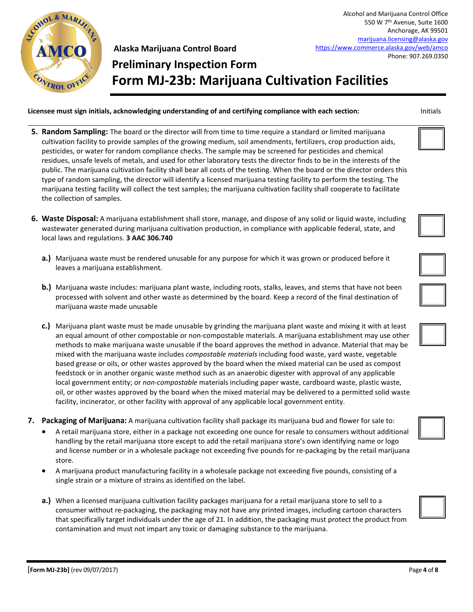

### **Preliminary Inspection Form Form MJ-23b: Marijuana Cultivation Facilities**

- **5. Random Sampling:** The board or the director will from time to time require a standard or limited marijuana cultivation facility to provide samples of the growing medium, soil amendments, fertilizers, crop production aids, pesticides, or water for random compliance checks. The sample may be screened for pesticides and chemical residues, unsafe levels of metals, and used for other laboratory tests the director finds to be in the interests of the public. The marijuana cultivation facility shall bear all costs of the testing. When the board or the director orders this type of random sampling, the director will identify a licensed marijuana testing facility to perform the testing. The marijuana testing facility will collect the test samples; the marijuana cultivation facility shall cooperate to facilitate the collection of samples.
- **6. Waste Disposal:** A marijuana establishment shall store, manage, and dispose of any solid or liquid waste, including wastewater generated during marijuana cultivation production, in compliance with applicable federal, state, and local laws and regulations. **3 AAC 306.740**
	- **a.)** Marijuana waste must be rendered unusable for any purpose for which it was grown or produced before it leaves a marijuana establishment.
	- **b.)** Marijuana waste includes: marijuana plant waste, including roots, stalks, leaves, and stems that have not been processed with solvent and other waste as determined by the board. Keep a record of the final destination of marijuana waste made unusable
	- **c.)** Marijuana plant waste must be made unusable by grinding the marijuana plant waste and mixing it with at least an equal amount of other compostable or non-compostable materials. A marijuana establishment may use other methods to make marijuana waste unusable if the board approves the method in advance. Material that may be mixed with the marijuana waste includes *compostable materials* including food waste, yard waste, vegetable based grease or oils, or other wastes approved by the board when the mixed material can be used as compost feedstock or in another organic waste method such as an anaerobic digester with approval of any applicable local government entity; or *non-compostable* materials including paper waste, cardboard waste, plastic waste, oil, or other wastes approved by the board when the mixed material may be delivered to a permitted solid waste facility, incinerator, or other facility with approval of any applicable local government entity.
- **7. Packaging of Marijuana:** A marijuana cultivation facility shall package its marijuana bud and flower for sale to:
	- A retail marijuana store, either in a package not exceeding one ounce for resale to consumers without additional handling by the retail marijuana store except to add the retail marijuana store's own identifying name or logo and license number or in a wholesale package not exceeding five pounds for re-packaging by the retail marijuana store.
	- A marijuana product manufacturing facility in a wholesale package not exceeding five pounds, consisting of a single strain or a mixture of strains as identified on the label.
	- **a.)** When a licensed marijuana cultivation facility packages marijuana for a retail marijuana store to sell to a consumer without re-packaging, the packaging may not have any printed images, including cartoon characters that specifically target individuals under the age of 21. In addition, the packaging must protect the product from contamination and must not impart any toxic or damaging substance to the marijuana.









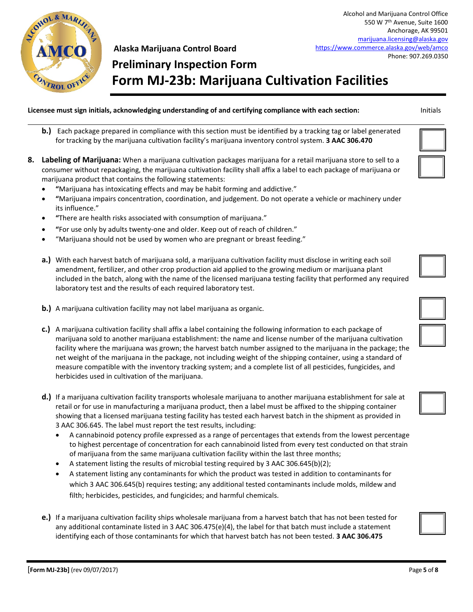

# **Preliminary Inspection Form Form MJ-23b: Marijuana Cultivation Facilities**

- **b.)** Each package prepared in compliance with this section must be identified by a tracking tag or label generated for tracking by the marijuana cultivation facility's marijuana inventory control system. **3 AAC 306.470**
- **8. Labeling of Marijuana:** When a marijuana cultivation packages marijuana for a retail marijuana store to sell to a consumer without repackaging, the marijuana cultivation facility shall affix a label to each package of marijuana or marijuana product that contains the following statements:
	- **"**Marijuana has intoxicating effects and may be habit forming and addictive."
	- **"**Marijuana impairs concentration, coordination, and judgement. Do not operate a vehicle or machinery under its influence."
	- **"**There are health risks associated with consumption of marijuana."
	- **"**For use only by adults twenty-one and older. Keep out of reach of children."
	- "Marijuana should not be used by women who are pregnant or breast feeding."
	- **a.)** With each harvest batch of marijuana sold, a marijuana cultivation facility must disclose in writing each soil amendment, fertilizer, and other crop production aid applied to the growing medium or marijuana plant included in the batch, along with the name of the licensed marijuana testing facility that performed any required laboratory test and the results of each required laboratory test.
	- **b.)** A marijuana cultivation facility may not label marijuana as organic.
	- **c.)** A marijuana cultivation facility shall affix a label containing the following information to each package of marijuana sold to another marijuana establishment: the name and license number of the marijuana cultivation facility where the marijuana was grown; the harvest batch number assigned to the marijuana in the package; the net weight of the marijuana in the package, not including weight of the shipping container, using a standard of measure compatible with the inventory tracking system; and a complete list of all pesticides, fungicides, and herbicides used in cultivation of the marijuana.
	- **d.)** If a marijuana cultivation facility transports wholesale marijuana to another marijuana establishment for sale at retail or for use in manufacturing a marijuana product, then a label must be affixed to the shipping container showing that a licensed marijuana testing facility has tested each harvest batch in the shipment as provided in 3 AAC 306.645. The label must report the test results, including:
		- A cannabinoid potency profile expressed as a range of percentages that extends from the lowest percentage to highest percentage of concentration for each cannabinoid listed from every test conducted on that strain of marijuana from the same marijuana cultivation facility within the last three months;
		- A statement listing the results of microbial testing required by 3 AAC 306.645(b)(2);
		- A statement listing any contaminants for which the product was tested in addition to contaminants for which 3 AAC 306.645(b) requires testing; any additional tested contaminants include molds, mildew and filth; herbicides, pesticides, and fungicides; and harmful chemicals.
	- **e.)** If a marijuana cultivation facility ships wholesale marijuana from a harvest batch that has not been tested for any additional contaminate listed in 3 AAC 306.475(e)(4), the label for that batch must include a statement identifying each of those contaminants for which that harvest batch has not been tested. **3 AAC 306.475**





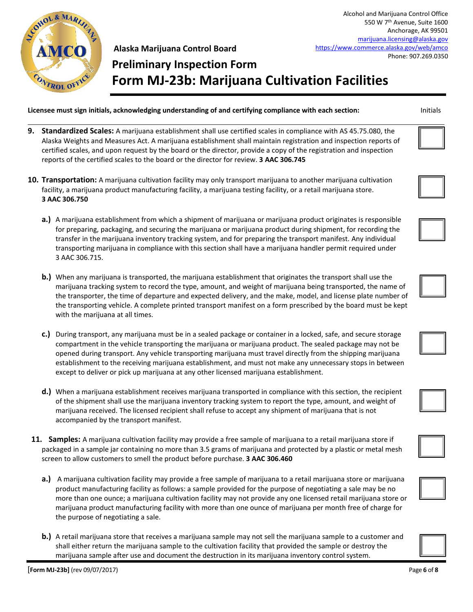

### **Preliminary Inspection Form Form MJ-23b: Marijuana Cultivation Facilities**

- **9. Standardized Scales:** A marijuana establishment shall use certified scales in compliance with AS 45.75.080, the Alaska Weights and Measures Act. A marijuana establishment shall maintain registration and inspection reports of certified scales, and upon request by the board or the director, provide a copy of the registration and inspection reports of the certified scales to the board or the director for review. **3 AAC 306.745**
- **10. Transportation:** A marijuana cultivation facility may only transport marijuana to another marijuana cultivation facility, a marijuana product manufacturing facility, a marijuana testing facility, or a retail marijuana store. **3 AAC 306.750**
	- **a.)** A marijuana establishment from which a shipment of marijuana or marijuana product originates is responsible for preparing, packaging, and securing the marijuana or marijuana product during shipment, for recording the transfer in the marijuana inventory tracking system, and for preparing the transport manifest. Any individual transporting marijuana in compliance with this section shall have a marijuana handler permit required under 3 AAC 306.715.
	- **b.)** When any marijuana is transported, the marijuana establishment that originates the transport shall use the marijuana tracking system to record the type, amount, and weight of marijuana being transported, the name of the transporter, the time of departure and expected delivery, and the make, model, and license plate number of the transporting vehicle. A complete printed transport manifest on a form prescribed by the board must be kept with the marijuana at all times.
	- **c.)** During transport, any marijuana must be in a sealed package or container in a locked, safe, and secure storage compartment in the vehicle transporting the marijuana or marijuana product. The sealed package may not be opened during transport. Any vehicle transporting marijuana must travel directly from the shipping marijuana establishment to the receiving marijuana establishment, and must not make any unnecessary stops in between except to deliver or pick up marijuana at any other licensed marijuana establishment.
	- **d.)** When a marijuana establishment receives marijuana transported in compliance with this section, the recipient of the shipment shall use the marijuana inventory tracking system to report the type, amount, and weight of marijuana received. The licensed recipient shall refuse to accept any shipment of marijuana that is not accompanied by the transport manifest.
- **11. Samples:** A marijuana cultivation facility may provide a free sample of marijuana to a retail marijuana store if packaged in a sample jar containing no more than 3.5 grams of marijuana and protected by a plastic or metal mesh screen to allow customers to smell the product before purchase. **3 AAC 306.460**
	- **a.)** A marijuana cultivation facility may provide a free sample of marijuana to a retail marijuana store or marijuana product manufacturing facility as follows: a sample provided for the purpose of negotiating a sale may be no more than one ounce; a marijuana cultivation facility may not provide any one licensed retail marijuana store or marijuana product manufacturing facility with more than one ounce of marijuana per month free of charge for the purpose of negotiating a sale.
	- **b.)** A retail marijuana store that receives a marijuana sample may not sell the marijuana sample to a customer and shall either return the marijuana sample to the cultivation facility that provided the sample or destroy the marijuana sample after use and document the destruction in its marijuana inventory control system.







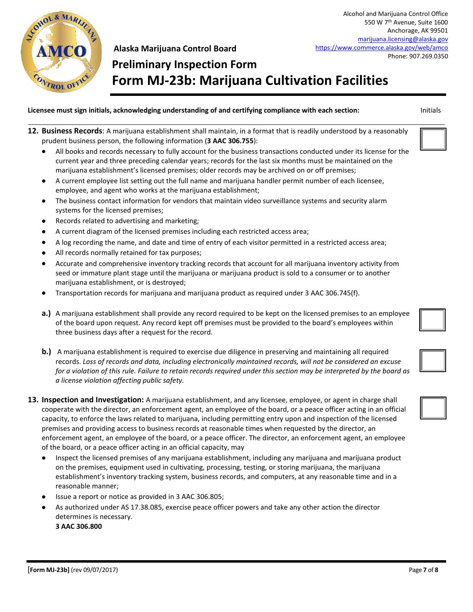

**Preliminary Inspection Form Form MJ-23b: Marijuana Cultivation Facilities**

| Licensee must sign initials, acknowledging understanding of and certifying compliance with each section: |  |  |  |  | Initials |
|----------------------------------------------------------------------------------------------------------|--|--|--|--|----------|
|----------------------------------------------------------------------------------------------------------|--|--|--|--|----------|

- **12. Business Records**: A marijuana establishment shall maintain, in a format that is readily understood by a reasonably prudent business person, the following information (**3 AAC 306.755**):
	- All books and records necessary to fully account for the business transactions conducted under its license for the current year and three preceding calendar years; records for the last six months must be maintained on the marijuana establishment's licensed premises; older records may be archived on or off premises;
	- A current employee list setting out the full name and marijuana handler permit number of each licensee, employee, and agent who works at the marijuana establishment;
	- The business contact information for vendors that maintain video surveillance systems and security alarm systems for the licensed premises;
	- Records related to advertising and marketing;
	- A current diagram of the licensed premises including each restricted access area;
	- A log recording the name, and date and time of entry of each visitor permitted in a restricted access area;
	- All records normally retained for tax purposes;
	- Accurate and comprehensive inventory tracking records that account for all marijuana inventory activity from seed or immature plant stage until the marijuana or marijuana product is sold to a consumer or to another marijuana establishment, or is destroyed;
	- Transportation records for marijuana and marijuana product as required under 3 AAC 306.745(f).
	- **a.)** A marijuana establishment shall provide any record required to be kept on the licensed premises to an employee of the board upon request. Any record kept off premises must be provided to the board's employees within three business days after a request for the record.
	- **b.)** A marijuana establishment is required to exercise due diligence in preserving and maintaining all required records. *Loss of records and data, including electronically maintained records, will not be considered an excuse for a violation of this rule. Failure to retain records required under this section may be interpreted by the board as a license violation affecting public safety.*
- **13. Inspection and Investigation:** A marijuana establishment, and any licensee, employee, or agent in charge shall cooperate with the director, an enforcement agent, an employee of the board, or a peace officer acting in an official capacity, to enforce the laws related to marijuana, including permitting entry upon and inspection of the licensed premises and providing access to business records at reasonable times when requested by the director, an enforcement agent, an employee of the board, or a peace officer. The director, an enforcement agent, an employee of the board, or a peace officer acting in an official capacity, may
	- Inspect the licensed premises of any marijuana establishment, including any marijuana and marijuana product on the premises, equipment used in cultivating, processing, testing, or storing marijuana, the marijuana establishment's inventory tracking system, business records, and computers, at any reasonable time and in a reasonable manner;
	- Issue a report or notice as provided in 3 AAC 306.805;
	- As authorized under AS 17.38.085, exercise peace officer powers and take any other action the director determines is necessary. **3 AAC 306.800**